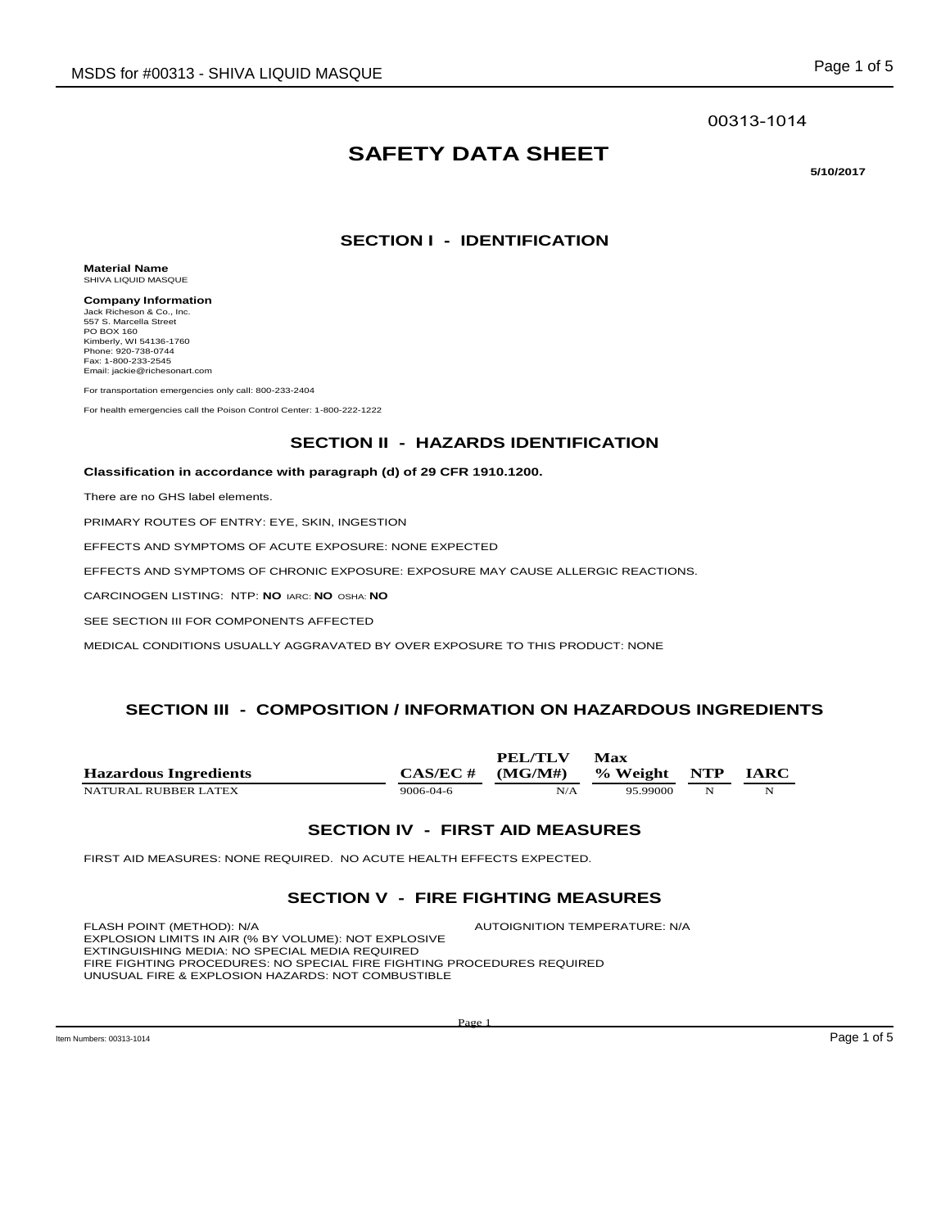#### 00313-1014

# **SAFETY DATA SHEET**

**5/10/2017** 

## **SECTION I - IDENTIFICATION**

**Material Name** SHIVA LIQUID MASQUE

**Company Information** Jack Richeson & Co., Inc. 557 S. Marcella Street PO BOX 160 Kimberly, WI 54136-1760 Phone: 920-738-0744 Fax: 1-800-233-2545 Email: jackie@richesonart.com

For transportation emergencies only call: 800-233-2404

For health emergencies call the Poison Control Center: 1-800-222-1222

## **SECTION II - HAZARDS IDENTIFICATION**

**Classification in accordance with paragraph (d) of 29 CFR 1910.1200.**

There are no GHS label elements.

PRIMARY ROUTES OF ENTRY: EYE, SKIN, INGESTION

EFFECTS AND SYMPTOMS OF ACUTE EXPOSURE: NONE EXPECTED

EFFECTS AND SYMPTOMS OF CHRONIC EXPOSURE: EXPOSURE MAY CAUSE ALLERGIC REACTIONS.

CARCINOGEN LISTING: NTP: **NO** IARC: **NO** OSHA: **NO**

SEE SECTION III FOR COMPONENTS AFFECTED

MEDICAL CONDITIONS USUALLY AGGRAVATED BY OVER EXPOSURE TO THIS PRODUCT: NONE

## **SECTION III - COMPOSITION / INFORMATION ON HAZARDOUS INGREDIENTS**

|                              |                 | PEL/TLV | Max          |   |             |
|------------------------------|-----------------|---------|--------------|---|-------------|
| <b>Hazardous Ingredients</b> | $CAS/EC \#$     | (MG/M#) | % Weight NTP |   | <b>IARC</b> |
| NATURAL RUBBER LATEX         | $9006 - 04 - 6$ | N/A     | 95.99000     | N | N           |

#### **SECTION IV - FIRST AID MEASURES**

FIRST AID MEASURES: NONE REQUIRED. NO ACUTE HEALTH EFFECTS EXPECTED.

#### **SECTION V - FIRE FIGHTING MEASURES**

FLASH POINT (METHOD): N/A AUTOIGNITION TEMPERATURE: N/A EXPLOSION LIMITS IN AIR (% BY VOLUME): NOT EXPLOSIVE EXTINGUISHING MEDIA: NO SPECIAL MEDIA REQUIRED FIRE FIGHTING PROCEDURES: NO SPECIAL FIRE FIGHTING PROCEDURES REQUIRED UNUSUAL FIRE & EXPLOSION HAZARDS: NOT COMBUSTIBLE

 $\log_{10}$  Numbers: 00313-1014  $\log_{10}$  Page 1 of 5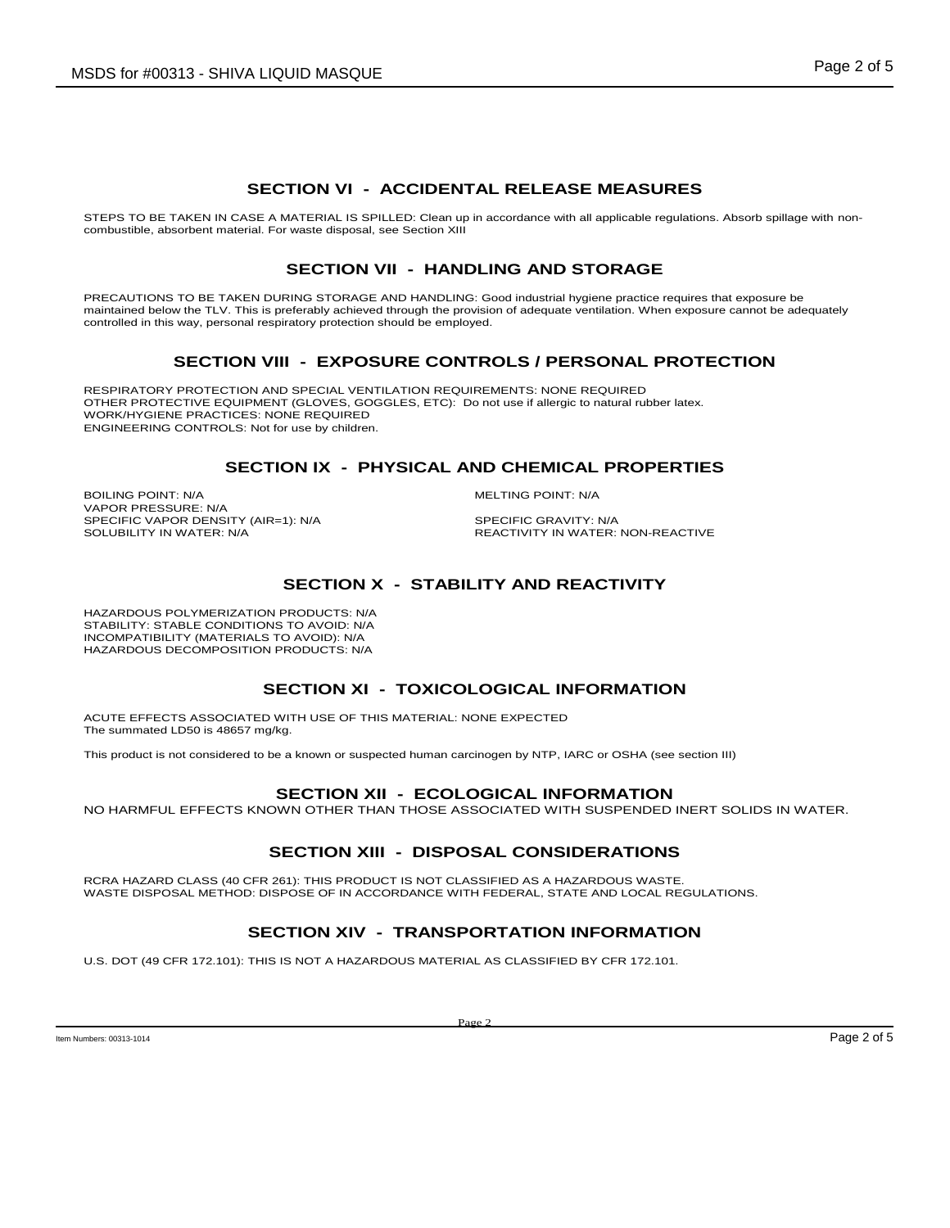## **SECTION VI - ACCIDENTAL RELEASE MEASURES**

STEPS TO BE TAKEN IN CASE A MATERIAL IS SPILLED: Clean up in accordance with all applicable regulations. Absorb spillage with noncombustible, absorbent material. For waste disposal, see Section XIII

## **SECTION VII - HANDLING AND STORAGE**

PRECAUTIONS TO BE TAKEN DURING STORAGE AND HANDLING: Good industrial hygiene practice requires that exposure be maintained below the TLV. This is preferably achieved through the provision of adequate ventilation. When exposure cannot be adequately controlled in this way, personal respiratory protection should be employed.

## **SECTION VIII - EXPOSURE CONTROLS / PERSONAL PROTECTION**

RESPIRATORY PROTECTION AND SPECIAL VENTILATION REQUIREMENTS: NONE REQUIRED OTHER PROTECTIVE EQUIPMENT (GLOVES, GOGGLES, ETC): Do not use if allergic to natural rubber latex. WORK/HYGIENE PRACTICES: NONE REQUIRED ENGINEERING CONTROLS: Not for use by children.

#### **SECTION IX - PHYSICAL AND CHEMICAL PROPERTIES**

BOILING POINT: N/A **MELTING POINT: N/A** VAPOR PRESSURE: N/A SPECIFIC VAPOR DENSITY (AIR=1): N/A SPECIFIC GRAVITY: N/A SOLUBILITY IN WATER: SPECIFIC GRAVITY: N/A

REACTIVITY IN WATER: NON-REACTIVE

## **SECTION X - STABILITY AND REACTIVITY**

HAZARDOUS POLYMERIZATION PRODUCTS: N/A STABILITY: STABLE CONDITIONS TO AVOID: N/A INCOMPATIBILITY (MATERIALS TO AVOID): N/A HAZARDOUS DECOMPOSITION PRODUCTS: N/A

## **SECTION XI - TOXICOLOGICAL INFORMATION**

ACUTE EFFECTS ASSOCIATED WITH USE OF THIS MATERIAL: NONE EXPECTED The summated LD50 is 48657 mg/kg.

This product is not considered to be a known or suspected human carcinogen by NTP, IARC or OSHA (see section III)

#### **SECTION XII - ECOLOGICAL INFORMATION**

NO HARMFUL EFFECTS KNOWN OTHER THAN THOSE ASSOCIATED WITH SUSPENDED INERT SOLIDS IN WATER.

# **SECTION XIII - DISPOSAL CONSIDERATIONS**

RCRA HAZARD CLASS (40 CFR 261): THIS PRODUCT IS NOT CLASSIFIED AS A HAZARDOUS WASTE. WASTE DISPOSAL METHOD: DISPOSE OF IN ACCORDANCE WITH FEDERAL, STATE AND LOCAL REGULATIONS.

# **SECTION XIV - TRANSPORTATION INFORMATION**

U.S. DOT (49 CFR 172.101): THIS IS NOT A HAZARDOUS MATERIAL AS CLASSIFIED BY CFR 172.101.

 $\blacksquare$  Item Numbers: 00313-1014  $\blacksquare$   $\blacksquare$   $\blacksquare$   $\blacksquare$   $\blacksquare$   $\blacksquare$   $\blacksquare$   $\blacksquare$   $\blacksquare$   $\blacksquare$   $\blacksquare$   $\blacksquare$   $\blacksquare$   $\blacksquare$   $\blacksquare$   $\blacksquare$   $\blacksquare$   $\blacksquare$   $\blacksquare$   $\blacksquare$   $\blacksquare$   $\blacksquare$   $\blacksquare$   $\blacksquare$   $\blacksquare$   $\blacksquare$   $\blacksquare$ 

Page 2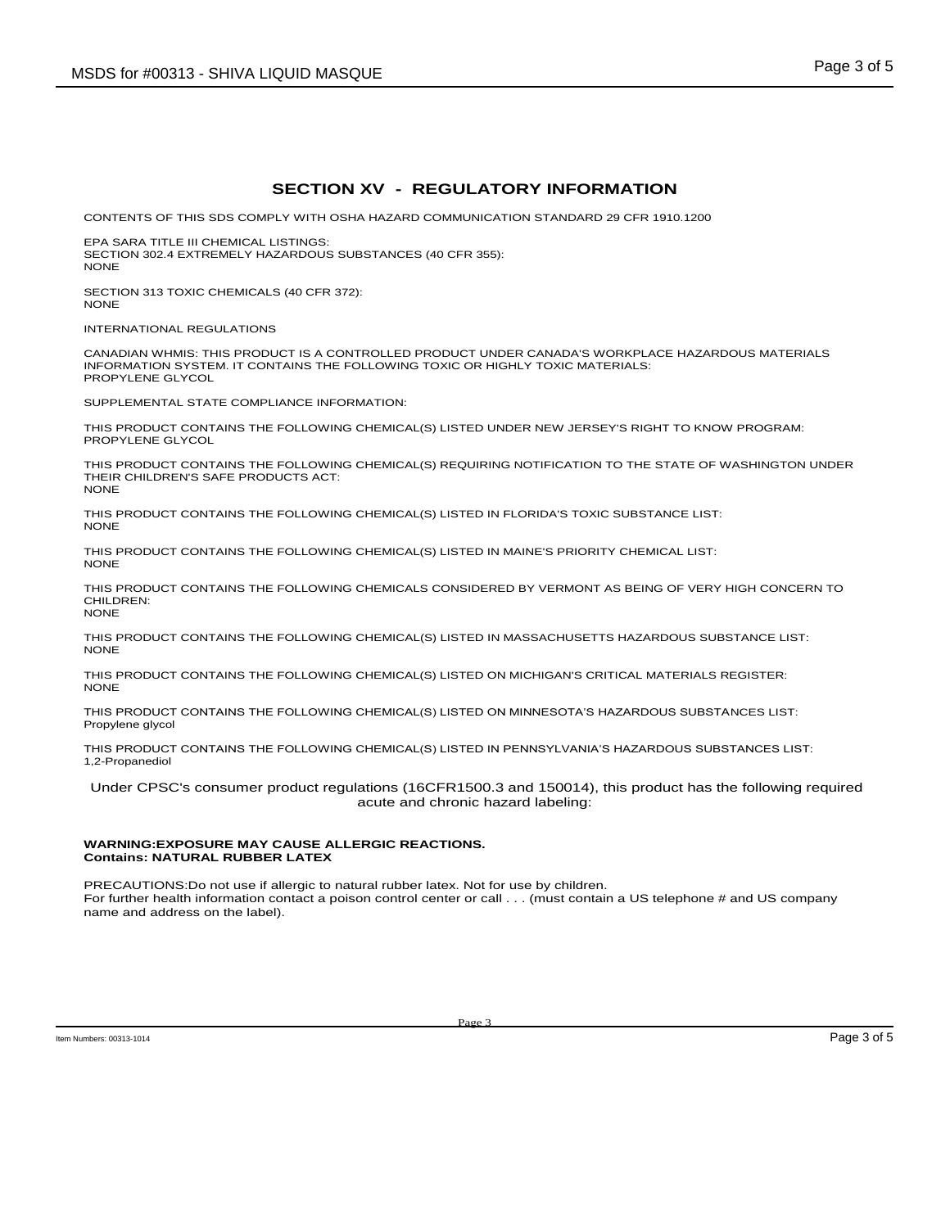## **SECTION XV - REGULATORY INFORMATION**

CONTENTS OF THIS SDS COMPLY WITH OSHA HAZARD COMMUNICATION STANDARD 29 CFR 1910.1200

EPA SARA TITLE III CHEMICAL LISTINGS: SECTION 302.4 EXTREMELY HAZARDOUS SUBSTANCES (40 CFR 355): NONE

SECTION 313 TOXIC CHEMICALS (40 CFR 372): NONE

INTERNATIONAL REGULATIONS

CANADIAN WHMIS: THIS PRODUCT IS A CONTROLLED PRODUCT UNDER CANADA'S WORKPLACE HAZARDOUS MATERIALS INFORMATION SYSTEM. IT CONTAINS THE FOLLOWING TOXIC OR HIGHLY TOXIC MATERIALS: PROPYLENE GLYCOL

SUPPLEMENTAL STATE COMPLIANCE INFORMATION:

THIS PRODUCT CONTAINS THE FOLLOWING CHEMICAL(S) LISTED UNDER NEW JERSEY'S RIGHT TO KNOW PROGRAM: PROPYLENE GLYCOL

THIS PRODUCT CONTAINS THE FOLLOWING CHEMICAL(S) REQUIRING NOTIFICATION TO THE STATE OF WASHINGTON UNDER THEIR CHILDREN'S SAFE PRODUCTS ACT: NONE

THIS PRODUCT CONTAINS THE FOLLOWING CHEMICAL(S) LISTED IN FLORIDA'S TOXIC SUBSTANCE LIST: NONE

THIS PRODUCT CONTAINS THE FOLLOWING CHEMICAL(S) LISTED IN MAINE'S PRIORITY CHEMICAL LIST: NONE

THIS PRODUCT CONTAINS THE FOLLOWING CHEMICALS CONSIDERED BY VERMONT AS BEING OF VERY HIGH CONCERN TO CHILDREN: NONE

THIS PRODUCT CONTAINS THE FOLLOWING CHEMICAL(S) LISTED IN MASSACHUSETTS HAZARDOUS SUBSTANCE LIST: **NONE** 

THIS PRODUCT CONTAINS THE FOLLOWING CHEMICAL(S) LISTED ON MICHIGAN'S CRITICAL MATERIALS REGISTER: **NONE** 

THIS PRODUCT CONTAINS THE FOLLOWING CHEMICAL(S) LISTED ON MINNESOTA'S HAZARDOUS SUBSTANCES LIST: Propylene glycol

THIS PRODUCT CONTAINS THE FOLLOWING CHEMICAL(S) LISTED IN PENNSYLVANIA'S HAZARDOUS SUBSTANCES LIST: 1,2-Propanediol

Under CPSC's consumer product regulations (16CFR1500.3 and 150014), this product has the following required acute and chronic hazard labeling:

#### **WARNING:EXPOSURE MAY CAUSE ALLERGIC REACTIONS. Contains: NATURAL RUBBER LATEX**

PRECAUTIONS:Do not use if allergic to natural rubber latex. Not for use by children. For further health information contact a poison control center or call . . . (must contain a US telephone # and US company name and address on the label).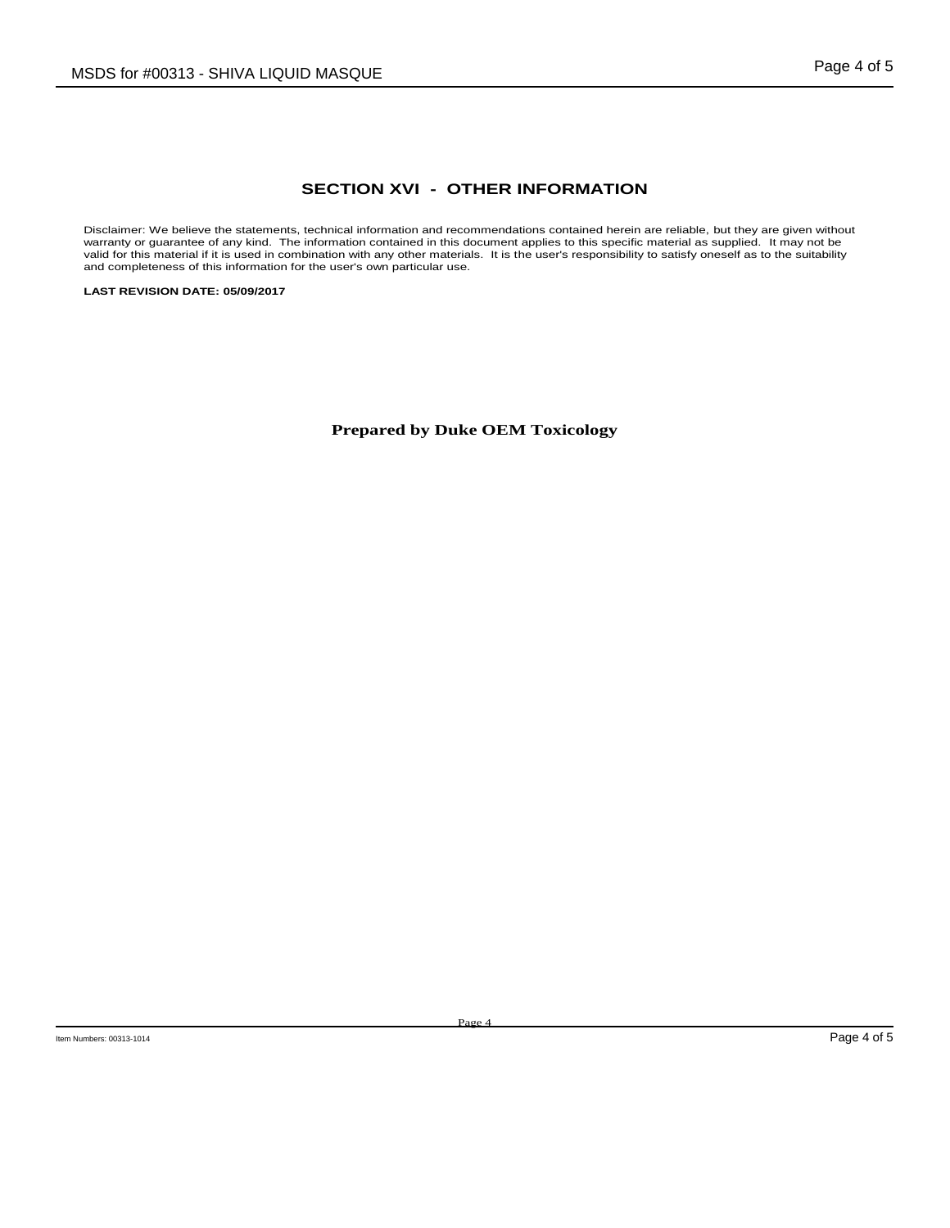## **SECTION XVI - OTHER INFORMATION**

Disclaimer: We believe the statements, technical information and recommendations contained herein are reliable, but they are given without warranty or guarantee of any kind. The information contained in this document appli

**LAST REVISION DATE: 05/09/2017**

**Prepared by Duke OEM Toxicology**